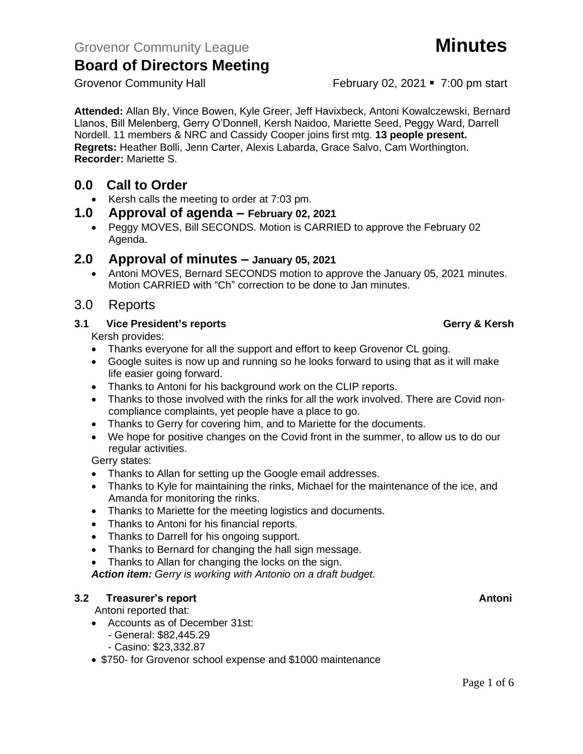Grovenor Community Hall **February 02, 2021** • 7:00 pm start

**Attended:** Allan Bly, Vince Bowen, Kyle Greer, Jeff Havixbeck, Antoni Kowalczewski, Bernard Llanos, Bill Melenberg, Gerry O'Donnell, Kersh Naidoo, Mariette Seed, Peggy Ward, Darrell Nordell. 11 members & NRC and Cassidy Cooper joins first mtg. **13 people present. Regrets:** Heather Bolli, Jenn Carter, Alexis Labarda, Grace Salvo, Cam Worthington.

### **0.0 Call to Order**

**Recorder:** Mariette S.

- Kersh calls the meeting to order at 7:03 pm.
- **1.0 Approval of agenda – February 02, 2021**
	- Peggy MOVES, Bill SECONDS. Motion is CARRIED to approve the February 02 Agenda.

#### **2.0 Approval of minutes – January 05, 2021**

• Antoni MOVES, Bernard SECONDS motion to approve the January 05, 2021 minutes. Motion CARRIED with "Ch" correction to be done to Jan minutes.

#### 3.0 Reports

#### **3.1 Vice President's reports Gerry & Kersh**

Kersh provides:

- Thanks everyone for all the support and effort to keep Grovenor CL going.
- Google suites is now up and running so he looks forward to using that as it will make life easier going forward.
- Thanks to Antoni for his background work on the CLIP reports.
- Thanks to those involved with the rinks for all the work involved. There are Covid noncompliance complaints, yet people have a place to go.
- Thanks to Gerry for covering him, and to Mariette for the documents.
- We hope for positive changes on the Covid front in the summer, to allow us to do our regular activities.

Gerry states:

- Thanks to Allan for setting up the Google email addresses.
- Thanks to Kyle for maintaining the rinks, Michael for the maintenance of the ice, and Amanda for monitoring the rinks.
- Thanks to Mariette for the meeting logistics and documents.
- Thanks to Antoni for his financial reports.
- Thanks to Darrell for his ongoing support.
- Thanks to Bernard for changing the hall sign message.
- Thanks to Allan for changing the locks on the sign.

*Action item: Gerry is working with Antonio on a draft budget.*

#### **3.2 Freasurer's report Antonic Structure Antonic Structure Antonic Antonic Antonic Antonic Antonic Antonic Antoni**

Antoni reported that:

- Accounts as of December 31st:
	- General: \$82,445.29
	- Casino: \$23,332.87
- \$750- for Grovenor school expense and \$1000 maintenance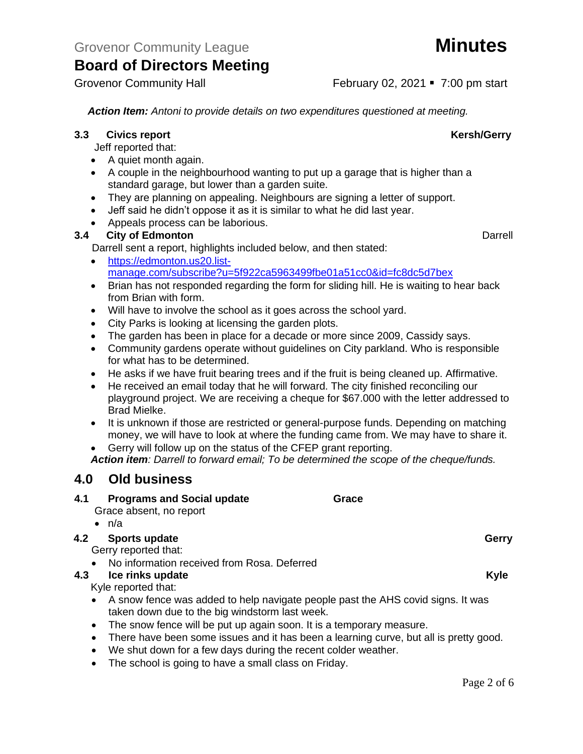Grovenor Community Hall **February 02, 2021** • 7:00 pm start

*Action Item: Antoni to provide details on two expenditures questioned at meeting.*

#### **3.3** Civics report **Kersh/Gerry**

Jeff reported that:

- A quiet month again.
- A couple in the neighbourhood wanting to put up a garage that is higher than a standard garage, but lower than a garden suite.
- They are planning on appealing. Neighbours are signing a letter of support.
- Jeff said he didn't oppose it as it is similar to what he did last year.
- Appeals process can be laborious.

#### **3.4 City of Edmonton** Darrell

Darrell sent a report, highlights included below, and then stated:

- [https://edmonton.us20.list](https://edmonton.us20.list-manage.com/subscribe?u=5f922ca5963499fbe01a51cc0&id=fc8dc5d7bex)[manage.com/subscribe?u=5f922ca5963499fbe01a51cc0&id=fc8dc5d7bex](https://edmonton.us20.list-manage.com/subscribe?u=5f922ca5963499fbe01a51cc0&id=fc8dc5d7bex)
- Brian has not responded regarding the form for sliding hill. He is waiting to hear back from Brian with form.
- Will have to involve the school as it goes across the school yard.
- City Parks is looking at licensing the garden plots.
- The garden has been in place for a decade or more since 2009, Cassidy says.
- Community gardens operate without guidelines on City parkland. Who is responsible for what has to be determined.
- He asks if we have fruit bearing trees and if the fruit is being cleaned up. Affirmative.
- He received an email today that he will forward. The city finished reconciling our playground project. We are receiving a cheque for \$67.000 with the letter addressed to Brad Mielke.
- It is unknown if those are restricted or general-purpose funds. Depending on matching money, we will have to look at where the funding came from. We may have to share it.
- Gerry will follow up on the status of the CFEP grant reporting.

*Action item: Darrell to forward email; To be determined the scope of the cheque/funds.*

### **4.0 Old business**

### **4.1 Programs and Social update Grace** Grace absent, no report

 $\bullet$  n/a

### **4.2 Sports update Gerry**

Gerry reported that:

• No information received from Rosa. Deferred

### **4.3 Ice rinks update CONSIDERENT CONSIDERED ASSOCIATES ASSOCIATES AND <b>Kyle**

Kyle reported that:

- A snow fence was added to help navigate people past the AHS covid signs. It was taken down due to the big windstorm last week.
- The snow fence will be put up again soon. It is a temporary measure.
- There have been some issues and it has been a learning curve, but all is pretty good.
- We shut down for a few days during the recent colder weather.
- The school is going to have a small class on Friday.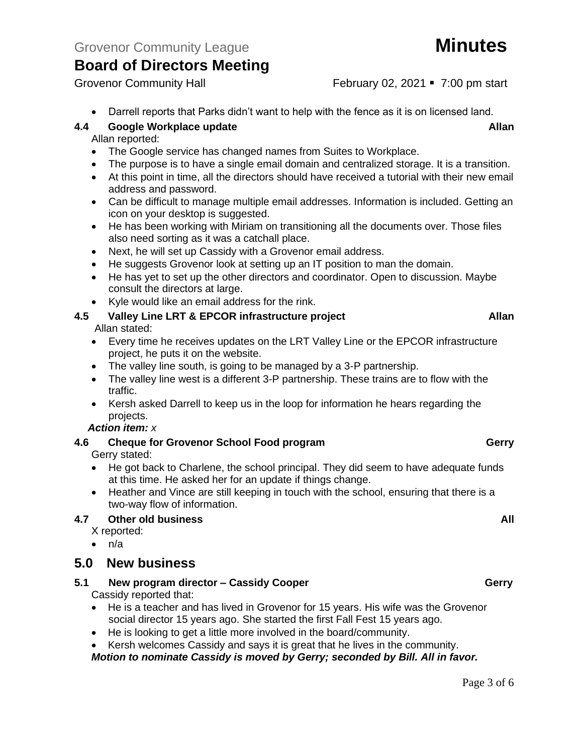Grovenor Community Hall February 02, 2021 • 7:00 pm start

• Darrell reports that Parks didn't want to help with the fence as it is on licensed land.

#### **4.4 Google Workplace update Allan**

#### Allan reported:

- The Google service has changed names from Suites to Workplace.
- The purpose is to have a single email domain and centralized storage. It is a transition.
- At this point in time, all the directors should have received a tutorial with their new email address and password.
- Can be difficult to manage multiple email addresses. Information is included. Getting an icon on your desktop is suggested.
- He has been working with Miriam on transitioning all the documents over. Those files also need sorting as it was a catchall place.
- Next, he will set up Cassidy with a Grovenor email address.
- He suggests Grovenor look at setting up an IT position to man the domain.
- He has yet to set up the other directors and coordinator. Open to discussion. Maybe consult the directors at large.
- Kyle would like an email address for the rink.

#### **4.5 Valley Line LRT & EPCOR infrastructure project Allan** Allan stated:

- Every time he receives updates on the LRT Valley Line or the EPCOR infrastructure project, he puts it on the website.
- The valley line south, is going to be managed by a 3-P partnership.
- The valley line west is a different 3-P partnership. These trains are to flow with the traffic.
- Kersh asked Darrell to keep us in the loop for information he hears regarding the projects.

#### *Action item: x*

## **4.6 Cheque for Grovenor School Food program Gerry**

Gerry stated:

- He got back to Charlene, the school principal. They did seem to have adequate funds at this time. He asked her for an update if things change.
- Heather and Vince are still keeping in touch with the school, ensuring that there is a two-way flow of information.

#### **4.7 Other old business All**

- X reported:
- $\bullet$  n/a

### **5.0 New business**

**5.1 New program director – Cassidy Cooper Gerry**

Cassidy reported that:

- He is a teacher and has lived in Grovenor for 15 years. His wife was the Grovenor social director 15 years ago. She started the first Fall Fest 15 years ago.
- He is looking to get a little more involved in the board/community.
- Kersh welcomes Cassidy and says it is great that he lives in the community.

*Motion to nominate Cassidy is moved by Gerry; seconded by Bill. All in favor.*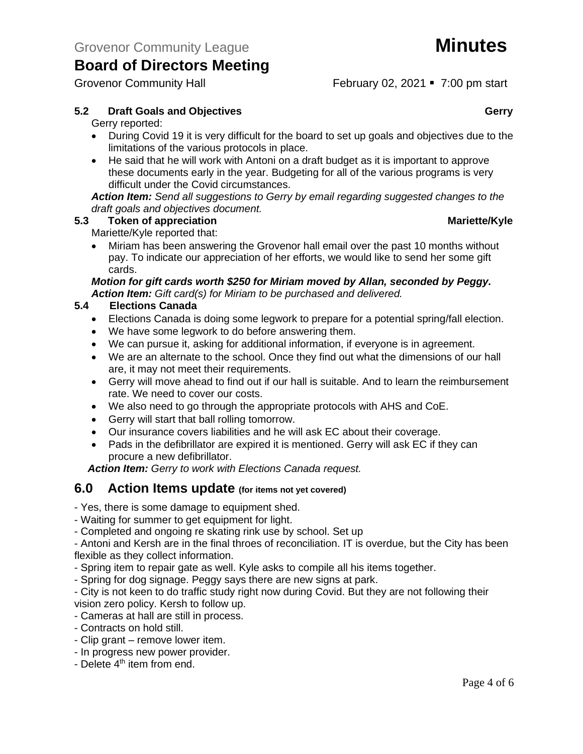Grovenor Community Hall **February 02, 2021** • 7:00 pm start

#### **5.2 Draft Goals and Objectives Gerry**

Gerry reported:

- During Covid 19 it is very difficult for the board to set up goals and objectives due to the limitations of the various protocols in place.
- He said that he will work with Antoni on a draft budget as it is important to approve these documents early in the year. Budgeting for all of the various programs is very difficult under the Covid circumstances.

*Action Item: Send all suggestions to Gerry by email regarding suggested changes to the draft goals and objectives document.*

#### **5.3 Token of appreciation** Mariette/Kyle

Mariette/Kyle reported that:

• Miriam has been answering the Grovenor hall email over the past 10 months without pay. To indicate our appreciation of her efforts, we would like to send her some gift cards.

#### *Motion for gift cards worth \$250 for Miriam moved by Allan, seconded by Peggy. Action Item: Gift card(s) for Miriam to be purchased and delivered.*

#### **5.4 Elections Canada**

- Elections Canada is doing some legwork to prepare for a potential spring/fall election.
- We have some legwork to do before answering them.
- We can pursue it, asking for additional information, if everyone is in agreement.
- We are an alternate to the school. Once they find out what the dimensions of our hall are, it may not meet their requirements.
- Gerry will move ahead to find out if our hall is suitable. And to learn the reimbursement rate. We need to cover our costs.
- We also need to go through the appropriate protocols with AHS and CoE.
- Gerry will start that ball rolling tomorrow.
- Our insurance covers liabilities and he will ask EC about their coverage.
- Pads in the defibrillator are expired it is mentioned. Gerry will ask EC if they can procure a new defibrillator.

*Action Item: Gerry to work with Elections Canada request.*

#### **6.0 Action Items update (for items not yet covered)**

- Yes, there is some damage to equipment shed.

- Waiting for summer to get equipment for light.
- Completed and ongoing re skating rink use by school. Set up

- Antoni and Kersh are in the final throes of reconciliation. IT is overdue, but the City has been flexible as they collect information.

- Spring item to repair gate as well. Kyle asks to compile all his items together.
- Spring for dog signage. Peggy says there are new signs at park.

- City is not keen to do traffic study right now during Covid. But they are not following their vision zero policy. Kersh to follow up.

- Cameras at hall are still in process.
- Contracts on hold still.
- Clip grant remove lower item.
- In progress new power provider.
- Delete  $4<sup>th</sup>$  item from end.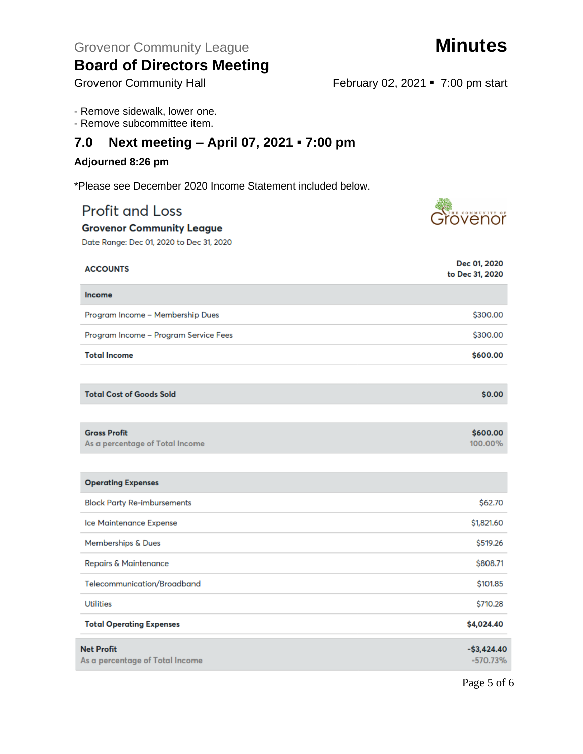| soara or Birootoro mooting<br><b>Grovenor Community Hall</b> | February 02, 2021 • 7:00 pm start |
|--------------------------------------------------------------|-----------------------------------|
| - Remove sidewalk, lower one.<br>- Remove subcommittee item. |                                   |
| Next meeting - April 07, 2021 - 7:00 pm<br>7.0               |                                   |
| Adjourned 8:26 pm                                            |                                   |
| *Please see December 2020 Income Statement included below.   |                                   |
| <b>Profit and Loss</b>                                       | <u>bvenör</u>                     |
| <b>Grovenor Community League</b>                             |                                   |
| Date Range: Dec 01, 2020 to Dec 31, 2020                     |                                   |
| <b>ACCOUNTS</b>                                              | Dec 01, 2020<br>to Dec 31, 2020   |
| <b>Income</b>                                                |                                   |
| Program Income - Membership Dues                             | \$300.00                          |
| Program Income - Program Service Fees                        | \$300.00                          |
| <b>Total Income</b>                                          | \$600.00                          |
|                                                              |                                   |
| <b>Total Cost of Goods Sold</b>                              | \$0.00                            |
|                                                              |                                   |
| <b>Gross Profit</b><br>As a percentage of Total Income       | \$600.00<br>100.00%               |
|                                                              |                                   |
| <b>Operating Expenses</b>                                    |                                   |
| <b>Block Party Re-imbursements</b>                           | \$62.70                           |
| Ice Maintenance Expense                                      | \$1,821.60                        |
| Memberships & Dues                                           | \$519.26                          |
| <b>Repairs &amp; Maintenance</b>                             | \$808.71                          |
| Telecommunication/Broadband                                  | \$101.85                          |
| <b>Utilities</b>                                             | \$710.28                          |
| <b>Total Operating Expenses</b>                              | \$4,024.40                        |
| <b>Net Profit</b><br>As a percentage of Total Income         | $-$3,424.40$<br>$-570.73%$        |

Page 5 of 6